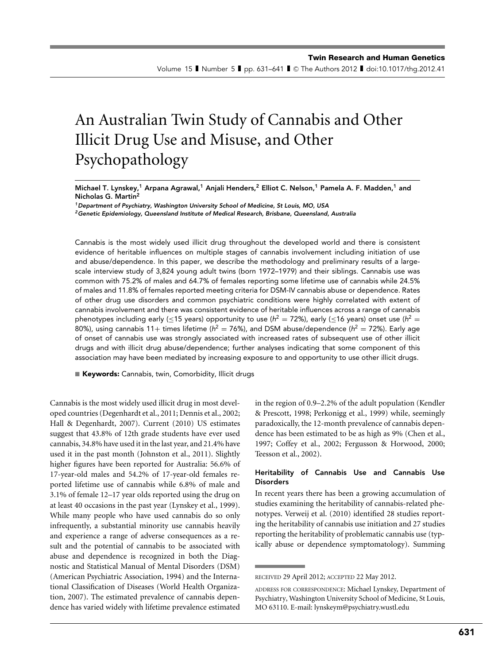Volume 15 *Number 5 pp. 631-641 C* The Authors 2012 *doi:10.1017/thg.2012.41* 

# An Australian Twin Study of Cannabis and Other Illicit Drug Use and Misuse, and Other Psychopathology

Michael T. Lynskey,<sup>1</sup> Arpana Agrawal,<sup>1</sup> Anjali Henders,<sup>2</sup> Elliot C. Nelson,<sup>1</sup> Pamela A. F. Madden,<sup>1</sup> and Nicholas G. Martin<sup>2</sup>

<sup>1</sup>Department of Psychiatry, Washington University School of Medicine, St Louis, MO, USA

<sup>2</sup> Genetic Epidemiology, Queensland Institute of Medical Research, Brisbane, Queensland, Australia

Cannabis is the most widely used illicit drug throughout the developed world and there is consistent evidence of heritable influences on multiple stages of cannabis involvement including initiation of use and abuse/dependence. In this paper, we describe the methodology and preliminary results of a largescale interview study of 3,824 young adult twins (born 1972–1979) and their siblings. Cannabis use was common with 75.2% of males and 64.7% of females reporting some lifetime use of cannabis while 24.5% of males and 11.8% of females reported meeting criteria for DSM-IV cannabis abuse or dependence. Rates of other drug use disorders and common psychiatric conditions were highly correlated with extent of cannabis involvement and there was consistent evidence of heritable influences across a range of cannabis phenotypes including early (≤15 years) opportunity to use ( $h^2 = 72\%$ ), early (≤16 years) onset use ( $h^2 =$ 80%), using cannabis 11+ times lifetime ( $h^2 = 76$ %), and DSM abuse/dependence ( $h^2 = 72$ %). Early age of onset of cannabis use was strongly associated with increased rates of subsequent use of other illicit drugs and with illicit drug abuse/dependence; further analyses indicating that some component of this association may have been mediated by increasing exposure to and opportunity to use other illicit drugs.

**Exeywords:** Cannabis, twin, Comorbidity, Illicit drugs

Cannabis is the most widely used illicit drug in most developed countries (Degenhardt et al., 2011; Dennis et al., 2002; Hall & Degenhardt, 2007). Current (2010) US estimates suggest that 43.8% of 12th grade students have ever used cannabis, 34.8% have used it in the last year, and 21.4% have used it in the past month (Johnston et al., 2011). Slightly higher figures have been reported for Australia: 56.6% of 17-year-old males and 54.2% of 17-year-old females reported lifetime use of cannabis while 6.8% of male and 3.1% of female 12–17 year olds reported using the drug on at least 40 occasions in the past year (Lynskey et al., 1999). While many people who have used cannabis do so only infrequently, a substantial minority use cannabis heavily and experience a range of adverse consequences as a result and the potential of cannabis to be associated with abuse and dependence is recognized in both the Diagnostic and Statistical Manual of Mental Disorders (DSM) (American Psychiatric Association, 1994) and the International Classification of Diseases (World Health Organization, 2007). The estimated prevalence of cannabis dependence has varied widely with lifetime prevalence estimated in the region of 0.9–2.2% of the adult population (Kendler & Prescott, 1998; Perkonigg et al., 1999) while, seemingly paradoxically, the 12-month prevalence of cannabis dependence has been estimated to be as high as 9% (Chen et al., 1997; Coffey et al., 2002; Fergusson & Horwood, 2000; Teesson et al., 2002).

## Heritability of Cannabis Use and Cannabis Use **Disorders**

In recent years there has been a growing accumulation of studies examining the heritability of cannabis-related phenotypes. Verweij et al. (2010) identified 28 studies reporting the heritability of cannabis use initiation and 27 studies reporting the heritability of problematic cannabis use (typically abuse or dependence symptomatology). Summing

RECEIVED 29 April 2012; ACCEPTED 22 May 2012.

ADDRESS FOR CORRESPONDENCE: Michael Lynskey, Department of Psychiatry, Washington University School of Medicine, St Louis, MO 63110. E-mail: lynskeym@psychiatry.wustl.edu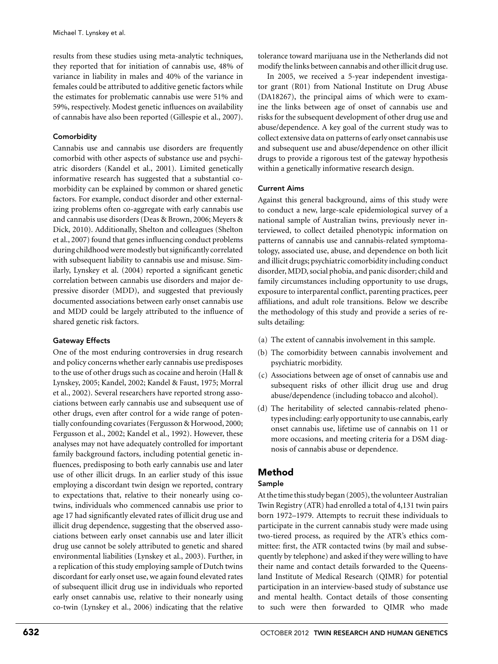results from these studies using meta-analytic techniques, they reported that for initiation of cannabis use, 48% of variance in liability in males and 40% of the variance in females could be attributed to additive genetic factors while the estimates for problematic cannabis use were 51% and 59%, respectively. Modest genetic influences on availability of cannabis have also been reported (Gillespie et al., 2007).

# **Comorbidity**

Cannabis use and cannabis use disorders are frequently comorbid with other aspects of substance use and psychiatric disorders (Kandel et al., 2001). Limited genetically informative research has suggested that a substantial comorbidity can be explained by common or shared genetic factors. For example, conduct disorder and other externalizing problems often co-aggregate with early cannabis use and cannabis use disorders (Deas & Brown, 2006; Meyers & Dick, 2010). Additionally, Shelton and colleagues (Shelton et al., 2007) found that genes influencing conduct problems during childhood were modestly but significantly correlated with subsequent liability to cannabis use and misuse. Similarly, Lynskey et al. (2004) reported a significant genetic correlation between cannabis use disorders and major depressive disorder (MDD), and suggested that previously documented associations between early onset cannabis use and MDD could be largely attributed to the influence of shared genetic risk factors.

# Gateway Effects

One of the most enduring controversies in drug research and policy concerns whether early cannabis use predisposes to the use of other drugs such as cocaine and heroin (Hall & Lynskey, 2005; Kandel, 2002; Kandel & Faust, 1975; Morral et al., 2002). Several researchers have reported strong associations between early cannabis use and subsequent use of other drugs, even after control for a wide range of potentially confounding covariates (Fergusson & Horwood, 2000; Fergusson et al., 2002; Kandel et al., 1992). However, these analyses may not have adequately controlled for important family background factors, including potential genetic influences, predisposing to both early cannabis use and later use of other illicit drugs. In an earlier study of this issue employing a discordant twin design we reported, contrary to expectations that, relative to their nonearly using cotwins, individuals who commenced cannabis use prior to age 17 had significantly elevated rates of illicit drug use and illicit drug dependence, suggesting that the observed associations between early onset cannabis use and later illicit drug use cannot be solely attributed to genetic and shared environmental liabilities (Lynskey et al., 2003). Further, in a replication of this study employing sample of Dutch twins discordant for early onset use, we again found elevated rates of subsequent illicit drug use in individuals who reported early onset cannabis use, relative to their nonearly using co-twin (Lynskey et al., 2006) indicating that the relative

tolerance toward marijuana use in the Netherlands did not modify the links between cannabis and other illicit drug use.

In 2005, we received a 5-year independent investigator grant (R01) from National Institute on Drug Abuse (DA18267), the principal aims of which were to examine the links between age of onset of cannabis use and risks for the subsequent development of other drug use and abuse/dependence. A key goal of the current study was to collect extensive data on patterns of early onset cannabis use and subsequent use and abuse/dependence on other illicit drugs to provide a rigorous test of the gateway hypothesis within a genetically informative research design.

# Current Aims

Against this general background, aims of this study were to conduct a new, large-scale epidemiological survey of a national sample of Australian twins, previously never interviewed, to collect detailed phenotypic information on patterns of cannabis use and cannabis-related symptomatology, associated use, abuse, and dependence on both licit and illicit drugs; psychiatric comorbidity including conduct disorder, MDD, social phobia, and panic disorder; child and family circumstances including opportunity to use drugs, exposure to interparental conflict, parenting practices, peer affiliations, and adult role transitions. Below we describe the methodology of this study and provide a series of results detailing:

- (a) The extent of cannabis involvement in this sample.
- (b) The comorbidity between cannabis involvement and psychiatric morbidity.
- (c) Associations between age of onset of cannabis use and subsequent risks of other illicit drug use and drug abuse/dependence (including tobacco and alcohol).
- (d) The heritability of selected cannabis-related phenotypes including: early opportunity to use cannabis, early onset cannabis use, lifetime use of cannabis on 11 or more occasions, and meeting criteria for a DSM diagnosis of cannabis abuse or dependence.

# Method

# Sample

At the time this study began (2005), the volunteer Australian Twin Registry (ATR) had enrolled a total of 4,131 twin pairs born 1972–1979. Attempts to recruit these individuals to participate in the current cannabis study were made using two-tiered process, as required by the ATR's ethics committee: first, the ATR contacted twins (by mail and subsequently by telephone) and asked if they were willing to have their name and contact details forwarded to the Queensland Institute of Medical Research (QIMR) for potential participation in an interview-based study of substance use and mental health. Contact details of those consenting to such were then forwarded to QIMR who made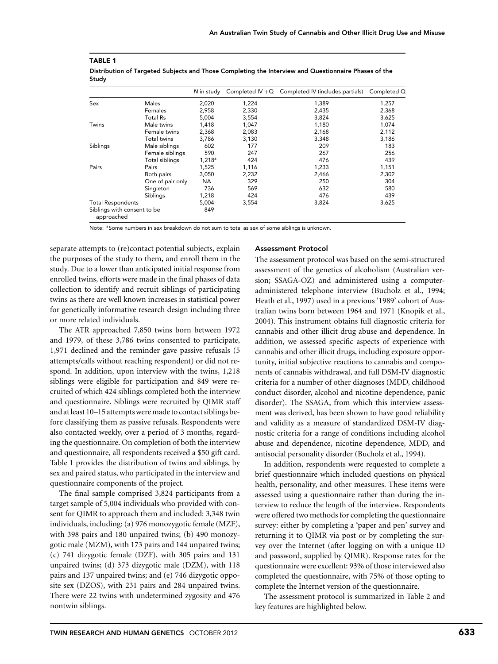|                                           |                  | N in study |       | Completed $IV +Q$ Completed IV (includes partials) | Completed Q |
|-------------------------------------------|------------------|------------|-------|----------------------------------------------------|-------------|
| Sex                                       | Males            | 2,020      | 1,224 | 1,389                                              | 1,257       |
|                                           | Females          | 2,958      | 2,330 | 2,435                                              | 2,368       |
|                                           | <b>Total Rs</b>  | 5,004      | 3,554 | 3,824                                              | 3,625       |
| Twins                                     | Male twins       | 1.418      | 1,047 | 1,180                                              | 1,074       |
|                                           | Female twins     | 2,368      | 2,083 | 2,168                                              | 2,112       |
|                                           | Total twins      | 3,786      | 3,130 | 3,348                                              | 3,186       |
| Siblings                                  | Male siblings    | 602        | 177   | 209                                                | 183         |
|                                           | Female siblings  | 590        | 247   | 267                                                | 256         |
|                                           | Total siblings   | $1,218^a$  | 424   | 476                                                | 439         |
| Pairs                                     | Pairs            | 1,525      | 1,116 | 1,233                                              | 1,151       |
|                                           | Both pairs       | 3,050      | 2,232 | 2,466                                              | 2,302       |
|                                           | One of pair only | <b>NA</b>  | 329   | 250                                                | 304         |
|                                           | Singleton        | 736        | 569   | 632                                                | 580         |
|                                           | Siblings         | 1,218      | 424   | 476                                                | 439         |
| <b>Total Respondents</b>                  |                  | 5,004      | 3,554 | 3,824                                              | 3,625       |
| Siblings with consent to be<br>approached |                  | 849        |       |                                                    |             |

|       | Distribution of Targeted Subjects and Those Completing the Interview and Questionnaire Phases of the |
|-------|------------------------------------------------------------------------------------------------------|
| Study |                                                                                                      |

Note: <sup>a</sup>Some numbers in sex breakdown do not sum to total as sex of some siblings is unknown.

separate attempts to (re)contact potential subjects, explain the purposes of the study to them, and enroll them in the study. Due to a lower than anticipated initial response from enrolled twins, efforts were made in the final phases of data collection to identify and recruit siblings of participating twins as there are well known increases in statistical power for genetically informative research design including three or more related individuals.

TABLE 1

The ATR approached 7,850 twins born between 1972 and 1979, of these 3,786 twins consented to participate, 1,971 declined and the reminder gave passive refusals (5 attempts/calls without reaching respondent) or did not respond. In addition, upon interview with the twins, 1,218 siblings were eligible for participation and 849 were recruited of which 424 siblings completed both the interview and questionnaire. Siblings were recruited by QIMR staff and at least 10–15 attemptsweremade to contact siblings before classifying them as passive refusals. Respondents were also contacted weekly, over a period of 3 months, regarding the questionnaire. On completion of both the interview and questionnaire, all respondents received a \$50 gift card. Table 1 provides the distribution of twins and siblings, by sex and paired status, who participated in the interview and questionnaire components of the project.

The final sample comprised 3,824 participants from a target sample of 5,004 individuals who provided with consent for QIMR to approach them and included: 3,348 twin individuals, including: (a) 976 monozygotic female (MZF), with 398 pairs and 180 unpaired twins; (b) 490 monozygotic male (MZM), with 173 pairs and 144 unpaired twins; (c) 741 dizygotic female (DZF), with 305 pairs and 131 unpaired twins; (d) 373 dizygotic male (DZM), with 118 pairs and 137 unpaired twins; and (e) 746 dizygotic opposite sex (DZOS), with 231 pairs and 284 unpaired twins. There were 22 twins with undetermined zygosity and 476 nontwin siblings.

## Assessment Protocol

The assessment protocol was based on the semi-structured assessment of the genetics of alcoholism (Australian version; SSAGA-OZ) and administered using a computeradministered telephone interview (Bucholz et al., 1994; Heath et al., 1997) used in a previous '1989' cohort of Australian twins born between 1964 and 1971 (Knopik et al., 2004). This instrument obtains full diagnostic criteria for cannabis and other illicit drug abuse and dependence. In addition, we assessed specific aspects of experience with cannabis and other illicit drugs, including exposure opportunity, initial subjective reactions to cannabis and components of cannabis withdrawal, and full DSM-IV diagnostic criteria for a number of other diagnoses (MDD, childhood conduct disorder, alcohol and nicotine dependence, panic disorder). The SSAGA, from which this interview assessment was derived, has been shown to have good reliability and validity as a measure of standardized DSM-IV diagnostic criteria for a range of conditions including alcohol abuse and dependence, nicotine dependence, MDD, and antisocial personality disorder (Bucholz et al., 1994).

In addition, respondents were requested to complete a brief questionnaire which included questions on physical health, personality, and other measures. These items were assessed using a questionnaire rather than during the interview to reduce the length of the interview. Respondents were offered two methods for completing the questionnaire survey: either by completing a 'paper and pen' survey and returning it to QIMR via post or by completing the survey over the Internet (after logging on with a unique ID and password, supplied by QIMR). Response rates for the questionnaire were excellent: 93% of those interviewed also completed the questionnaire, with 75% of those opting to complete the Internet version of the questionnaire.

The assessment protocol is summarized in Table 2 and key features are highlighted below.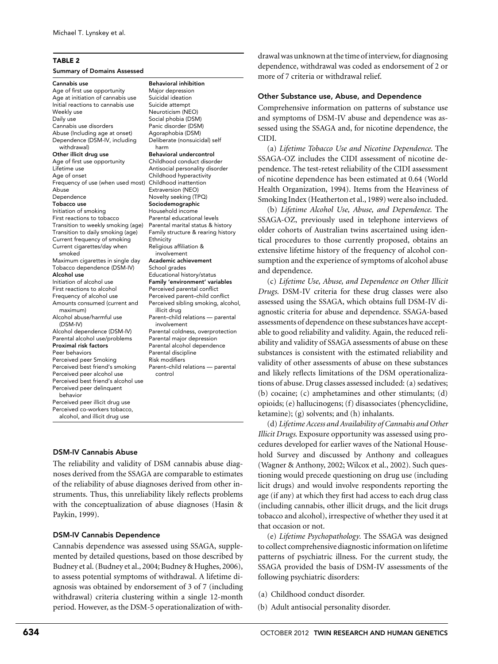| TABLE 2                                                                                                                                                                                                                                                                                                                                                                                                                                                                                                       |                                                                                                                                                                                                                                                                                                                                                                                                                                                                                                                       |
|---------------------------------------------------------------------------------------------------------------------------------------------------------------------------------------------------------------------------------------------------------------------------------------------------------------------------------------------------------------------------------------------------------------------------------------------------------------------------------------------------------------|-----------------------------------------------------------------------------------------------------------------------------------------------------------------------------------------------------------------------------------------------------------------------------------------------------------------------------------------------------------------------------------------------------------------------------------------------------------------------------------------------------------------------|
| Summary of Domains Assessed                                                                                                                                                                                                                                                                                                                                                                                                                                                                                   |                                                                                                                                                                                                                                                                                                                                                                                                                                                                                                                       |
| Cannabis use<br>Age of first use opportunity<br>Age at initiation of cannabis use<br>Initial reactions to cannabis use<br>Weekly use<br>Daily use<br>Cannabis use disorders<br>Abuse (Including age at onset)<br>Dependence (DSM-IV, including<br>withdrawal)<br>Other illicit drug use<br>Age of first use opportunity<br>Lifetime use<br>Age of onset<br>Frequency of use (when used most)<br>Abuse<br>Dependence<br>Tobacco use<br>Initiation of smoking                                                   | Behavioral inhibition<br>Major depression<br>Suicidal ideation<br>Suicide attempt<br>Neuroticism (NEO)<br>Social phobia (DSM)<br>Panic disorder (DSM)<br>Agoraphobia (DSM)<br>Deliberate (nonsuicidal) self<br>harm<br><b>Behavioral undercontrol</b><br>Childhood conduct disorder<br>Antisocial personality disorder<br>Childhood hyperactivity<br>Childhood inattention<br>Extraversion (NEO)<br>Novelty seeking (TPQ)<br>Sociodemographic<br>Household income                                                     |
| First reactions to tobacco<br>Transition to weekly smoking (age)<br>Transition to daily smoking (age)<br>Current frequency of smoking<br>Current cigarettes/day when<br>smoked<br>Maximum cigarettes in single day<br>Tobacco dependence (DSM-IV)<br>Alcohol use<br>Initiation of alcohol use<br>First reactions to alcohol<br>Frequency of alcohol use<br>Amounts consumed (current and<br>maximum)<br>Alcohol abuse/harmful use<br>(DSM-IV)<br>Alcohol dependence (DSM-IV)<br>Parental alcohol use/problems | Parental educational levels<br>Parental marital status & history<br>Family structure & rearing history<br>Ethnicity<br>Religious affiliation &<br>involvement<br>Academic achievement<br>School grades<br>Educational history/status<br>Family 'environment' variables<br>Perceived parental conflict<br>Perceived parent-child conflict<br>Perceived sibling smoking, alcohol,<br>illicit drug<br>Parent-child relations - parental<br>involvement<br>Parental coldness, overprotection<br>Parental major depression |
| Proximal risk factors<br>Peer behaviors<br>Perceived peer Smoking<br>Perceived best friend's smoking<br>Perceived peer alcohol use<br>Perceived best friend's alcohol use<br>Perceived peer delinquent<br>behavior<br>Perceived peer illicit drug use<br>Perceived co-workers tobacco,<br>alcohol, and illicit drug use                                                                                                                                                                                       | Parental alcohol dependence<br>Parental discipline<br>Risk modifiers<br>Parent-child relations - parental<br>control                                                                                                                                                                                                                                                                                                                                                                                                  |

## DSM-IV Cannabis Abuse

The reliability and validity of DSM cannabis abuse diagnoses derived from the SSAGA are comparable to estimates of the reliability of abuse diagnoses derived from other instruments. Thus, this unreliability likely reflects problems with the conceptualization of abuse diagnoses (Hasin & Paykin, 1999).

### DSM-IV Cannabis Dependence

Cannabis dependence was assessed using SSAGA, supplemented by detailed questions, based on those described by Budney et al. (Budney et al., 2004; Budney & Hughes, 2006), to assess potential symptoms of withdrawal. A lifetime diagnosis was obtained by endorsement of 3 of 7 (including withdrawal) criteria clustering within a single 12-month period. However, as the DSM-5 operationalization of withdrawal was unknown at the time of interview, for diagnosing dependence, withdrawal was coded as endorsement of 2 or more of 7 criteria or withdrawal relief.

## Other Substance use, Abuse, and Dependence

Comprehensive information on patterns of substance use and symptoms of DSM-IV abuse and dependence was assessed using the SSAGA and, for nicotine dependence, the CIDI.

(a) *Lifetime Tobacco Use and Nicotine Dependence*. The SSAGA-OZ includes the CIDI assessment of nicotine dependence. The test-retest reliability of the CIDI assessment of nicotine dependence has been estimated at 0.64 (World Health Organization, 1994). Items from the Heaviness of Smoking Index (Heatherton et al., 1989) were also included.

(b) *Lifetime Alcohol Use, Abuse, and Dependence*. The SSAGA-OZ, previously used in telephone interviews of older cohorts of Australian twins ascertained using identical procedures to those currently proposed, obtains an extensive lifetime history of the frequency of alcohol consumption and the experience of symptoms of alcohol abuse and dependence.

(c) *Lifetime Use, Abuse, and Dependence on Other Illicit Drugs*. DSM-IV criteria for these drug classes were also assessed using the SSAGA, which obtains full DSM-IV diagnostic criteria for abuse and dependence. SSAGA-based assessments of dependence on these substances have acceptable to good reliability and validity. Again, the reduced reliability and validity of SSAGA assessments of abuse on these substances is consistent with the estimated reliability and validity of other assessments of abuse on these substances and likely reflects limitations of the DSM operationalizations of abuse. Drug classes assessed included: (a) sedatives; (b) cocaine; (c) amphetamines and other stimulants; (d) opioids; (e) hallucinogens; (f) disassociates (phencyclidine, ketamine); (g) solvents; and (h) inhalants.

(d) *Lifetime Access and Availability of Cannabis and Other Illicit Drugs*. Exposure opportunity was assessed using procedures developed for earlier waves of the National Household Survey and discussed by Anthony and colleagues (Wagner & Anthony, 2002; Wilcox et al., 2002). Such questioning would precede questioning on drug use (including licit drugs) and would involve respondents reporting the age (if any) at which they first had access to each drug class (including cannabis, other illicit drugs, and the licit drugs tobacco and alcohol), irrespective of whether they used it at that occasion or not.

(e) *Lifetime Psychopathology*. The SSAGA was designed to collect comprehensive diagnostic information on lifetime patterns of psychiatric illness. For the current study, the SSAGA provided the basis of DSM-IV assessments of the following psychiatric disorders:

- (a) Childhood conduct disorder.
- (b) Adult antisocial personality disorder.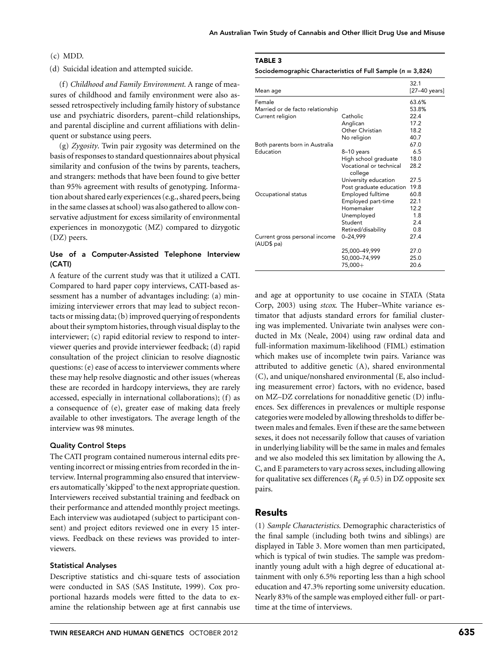## (c) MDD.

(d) Suicidal ideation and attempted suicide.

(f) *Childhood and Family Environment*. A range of measures of childhood and family environment were also assessed retrospectively including family history of substance use and psychiatric disorders, parent–child relationships, and parental discipline and current affiliations with delinquent or substance using peers.

(g) *Zygosity*. Twin pair zygosity was determined on the basis of responses to standard questionnaires about physical similarity and confusion of the twins by parents, teachers, and strangers: methods that have been found to give better than 95% agreement with results of genotyping. Information about shared early experiences (e.g., shared peers, being in the same classes at school) was also gathered to allow conservative adjustment for excess similarity of environmental experiences in monozygotic (MZ) compared to dizygotic (DZ) peers.

# Use of a Computer-Assisted Telephone Interview (CATI)

A feature of the current study was that it utilized a CATI. Compared to hard paper copy interviews, CATI-based assessment has a number of advantages including: (a) minimizing interviewer errors that may lead to subject recontacts or missing data; (b) improved querying of respondents about their symptom histories, through visual display to the interviewer; (c) rapid editorial review to respond to interviewer queries and provide interviewer feedback; (d) rapid consultation of the project clinician to resolve diagnostic questions: (e) ease of access to interviewer comments where these may help resolve diagnostic and other issues (whereas these are recorded in hardcopy interviews, they are rarely accessed, especially in international collaborations); (f) as a consequence of (e), greater ease of making data freely available to other investigators. The average length of the interview was 98 minutes.

#### Quality Control Steps

The CATI program contained numerous internal edits preventing incorrect or missing entries from recorded in the interview. Internal programming also ensured that interviewers automatically 'skipped' to the next appropriate question. Interviewers received substantial training and feedback on their performance and attended monthly project meetings. Each interview was audiotaped (subject to participant consent) and project editors reviewed one in every 15 interviews. Feedback on these reviews was provided to interviewers.

## Statistical Analyses

Descriptive statistics and chi-square tests of association were conducted in SAS (SAS Institute, 1999). Cox proportional hazards models were fitted to the data to examine the relationship between age at first cannabis use

## TABLE 3

Sociodemographic Characteristics of Full Sample ( $n = 3,824$ )

| Mean age                                    |                                    | 32.1<br>[27-40 years] |
|---------------------------------------------|------------------------------------|-----------------------|
| Female                                      |                                    | 63.6%                 |
| Married or de facto relationship            |                                    | 53.8%                 |
| Current religion                            | Catholic                           | 22.4                  |
|                                             | Anglican                           | 17.2                  |
|                                             | Other Christian                    | 18.2                  |
|                                             | No religion                        | 40.7                  |
| Both parents born in Australia              |                                    | 67.0                  |
| <b>Education</b>                            | 8-10 years                         | 6.5                   |
|                                             | High school graduate               | 18.0                  |
|                                             | Vocational or technical<br>college | 28.2                  |
|                                             | University education               | 27.5                  |
|                                             | Post graduate education            | 19.8                  |
| Occupational status                         | Employed fulltime                  | 60.8                  |
|                                             | Employed part-time                 | 22.1                  |
|                                             | Homemaker                          | 12.2                  |
|                                             | Unemployed                         | 1.8                   |
|                                             | Student                            | 2.4                   |
|                                             | Retired/disability                 | 0.8                   |
| Current gross personal income<br>(AUD\$ pa) | 0-24,999                           | 27.4                  |
|                                             | 25,000-49,999                      | 27.0                  |
|                                             | 50,000-74,999                      | 25.0                  |
|                                             | 75,000+                            | 20.6                  |

and age at opportunity to use cocaine in STATA (Stata Corp, 2003) using *stcox*. The Huber–White variance estimator that adjusts standard errors for familial clustering was implemented. Univariate twin analyses were conducted in Mx (Neale, 2004) using raw ordinal data and full-information maximum-likelihood (FIML) estimation which makes use of incomplete twin pairs. Variance was attributed to additive genetic (A), shared environmental (C), and unique/nonshared environmental (E, also including measurement error) factors, with no evidence, based on MZ–DZ correlations for nonadditive genetic (D) influences. Sex differences in prevalences or multiple response categories were modeled by allowing thresholds to differ between males and females. Even if these are the same between sexes, it does not necessarily follow that causes of variation in underlying liability will be the same in males and females and we also modeled this sex limitation by allowing the A, C, and E parameters to vary across sexes, including allowing for qualitative sex differences ( $R_g \neq 0.5$ ) in DZ opposite sex pairs.

# Results

(1) *Sample Characteristics*. Demographic characteristics of the final sample (including both twins and siblings) are displayed in Table 3. More women than men participated, which is typical of twin studies. The sample was predominantly young adult with a high degree of educational attainment with only 6.5% reporting less than a high school education and 47.3% reporting some university education. Nearly 83% of the sample was employed either full- or parttime at the time of interviews.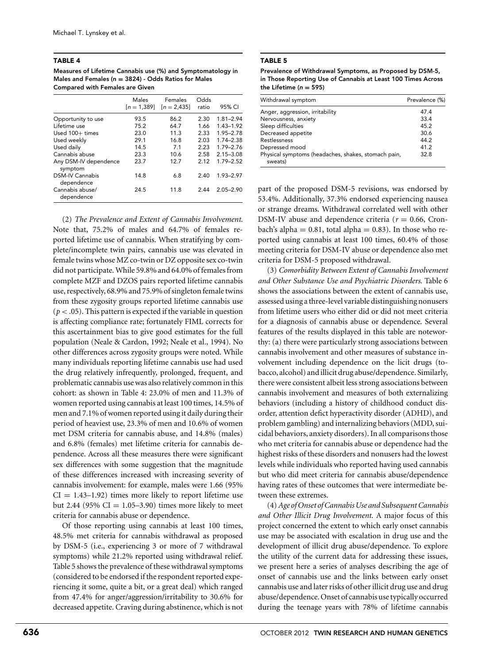## TABLE 4

Measures of Lifetime Cannabis use (%) and Symptomatology in Males and Females ( $n = 3824$ ) - Odds Ratios for Males Compared with Females are Given

|                                      | Males<br>$[n = 1,389]$ | Females<br>$[n = 2, 435]$ | Odds<br>ratio | 95% CI        |
|--------------------------------------|------------------------|---------------------------|---------------|---------------|
| Opportunity to use                   | 93.5                   | 86.2                      | 2.30          | $1.81 - 2.94$ |
| Lifetime use                         | 75.2                   | 64.7                      | 1.66          | $1.43 - 1.92$ |
| Used 100+ times                      | 23.0                   | 11.3                      | 2.33          | 1.95-2.78     |
| Used weekly                          | 29.1                   | 16.8                      | 2.03          | $1.74 - 2.38$ |
| Used daily                           | 14.5                   | 7.1                       | 2.23          | 1.79-2.76     |
| Cannabis abuse                       | 23.3                   | 10.6                      | 2.58          | $2.15 - 3.08$ |
| Any DSM-IV dependence<br>symptom     | 23.7                   | 12.7                      | 2.12          | $1.79 - 2.52$ |
| <b>DSM-IV Cannabis</b><br>dependence | 14.8                   | 6.8                       | 2.40          | 1.93-2.97     |
| Cannabis abuse/<br>dependence        | 24.5                   | 11.8                      | 2.44          | $2.05 - 2.90$ |

(2) *The Prevalence and Extent of Cannabis Involvement*. Note that, 75.2% of males and 64.7% of females reported lifetime use of cannabis. When stratifying by complete/incomplete twin pairs, cannabis use was elevated in female twins whose MZ co-twin or DZ opposite sex co-twin did not participate. While 59.8% and 64.0% of females from complete MZF and DZOS pairs reported lifetime cannabis use, respectively, 68.9% and 75.9% of singleton female twins from these zygosity groups reported lifetime cannabis use  $(p < .05)$ . This pattern is expected if the variable in question is affecting compliance rate; fortunately FIML corrects for this ascertainment bias to give good estimates for the full population (Neale & Cardon, 1992; Neale et al., 1994). No other differences across zygosity groups were noted. While many individuals reporting lifetime cannabis use had used the drug relatively infrequently, prolonged, frequent, and problematic cannabis use was also relatively common in this cohort: as shown in Table 4: 23.0% of men and 11.3% of women reported using cannabis at least 100 times, 14.5% of men and 7.1% of women reported using it daily during their period of heaviest use, 23.3% of men and 10.6% of women met DSM criteria for cannabis abuse, and 14.8% (males) and 6.8% (females) met lifetime criteria for cannabis dependence. Across all these measures there were significant sex differences with some suggestion that the magnitude of these differences increased with increasing severity of cannabis involvement: for example, males were 1.66 (95%  $CI = 1.43-1.92$ ) times more likely to report lifetime use but 2.44 (95% CI =  $1.05-3.90$ ) times more likely to meet criteria for cannabis abuse or dependence.

Of those reporting using cannabis at least 100 times, 48.5% met criteria for cannabis withdrawal as proposed by DSM-5 (i.e., experiencing 3 or more of 7 withdrawal symptoms) while 21.2% reported using withdrawal relief. Table 5 shows the prevalence of these withdrawal symptoms (considered to be endorsed if the respondent reported experiencing it some, quite a bit, or a great deal) which ranged from 47.4% for anger/aggression/irritability to 30.6% for decreased appetite. Craving during abstinence, which is not

## TABLE 5

Prevalence of Withdrawal Symptoms, as Proposed by DSM-5, in Those Reporting Use of Cannabis at Least 100 Times Across the Lifetime ( $n = 595$ )

| Withdrawal symptom                                             | Prevalence (%) |
|----------------------------------------------------------------|----------------|
| Anger, aggression, irritability                                | 47.4           |
| Nervousness, anxiety                                           | 33.4           |
| Sleep difficulties                                             | 45.2           |
| Decreased appetite                                             | 30.6           |
| Restlessness                                                   | 44.2           |
| Depressed mood                                                 | 41.2           |
| Physical symptoms (headaches, shakes, stomach pain,<br>sweats) | 32.8           |

part of the proposed DSM-5 revisions, was endorsed by 53.4%. Additionally, 37.3% endorsed experiencing nausea or strange dreams. Withdrawal correlated well with other DSM-IV abuse and dependence criteria ( $r = 0.66$ , Cronbach's alpha =  $0.81$ , total alpha =  $0.83$ ). In those who reported using cannabis at least 100 times, 60.4% of those meeting criteria for DSM-IV abuse or dependence also met criteria for DSM-5 proposed withdrawal.

(3) *Comorbidity Between Extent of Cannabis Involvement and Other Substance Use and Psychiatric Disorders*. Table 6 shows the associations between the extent of cannabis use, assessed using a three-level variable distinguishing nonusers from lifetime users who either did or did not meet criteria for a diagnosis of cannabis abuse or dependence. Several features of the results displayed in this table are noteworthy: (a) there were particularly strong associations between cannabis involvement and other measures of substance involvement including dependence on the licit drugs (tobacco, alcohol) and illicit drug abuse/dependence. Similarly, there were consistent albeit less strong associations between cannabis involvement and measures of both externalizing behaviors (including a history of childhood conduct disorder, attention defict hyperactivity disorder (ADHD), and problem gambling) and internalizing behaviors (MDD, suicidal behaviors, anxiety disorders). In all comparisons those who met criteria for cannabis abuse or dependence had the highest risks of these disorders and nonusers had the lowest levels while individuals who reported having used cannabis but who did meet criteria for cannabis abuse/dependence having rates of these outcomes that were intermediate between these extremes.

(4)*Age of Onset of Cannabis Use and Subsequent Cannabis and Other Illicit Drug Involvement*. A major focus of this project concerned the extent to which early onset cannabis use may be associated with escalation in drug use and the development of illicit drug abuse/dependence. To explore the utility of the current data for addressing these issues, we present here a series of analyses describing the age of onset of cannabis use and the links between early onset cannabis use and later risks of other illicit drug use and drug abuse/dependence. Onset of cannabis use typically occurred during the teenage years with 78% of lifetime cannabis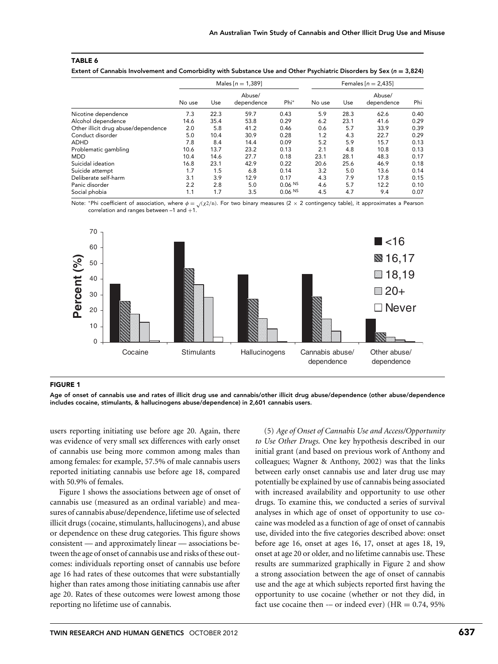| TABLE 6                                                                                                                |  |
|------------------------------------------------------------------------------------------------------------------------|--|
| Extent of Cannabis Involvement and Comorbidity with Substance Use and Other Psychiatric Disorders by Sex ( $n=3.824$ ) |  |

|                                     | Males [ $n = 1,389$ ] |      |                      |                      | Females $[n = 2,435]$ |      |                      |      |
|-------------------------------------|-----------------------|------|----------------------|----------------------|-----------------------|------|----------------------|------|
|                                     | No use                | Use  | Abuse/<br>dependence | Phi <sup>*</sup>     | No use                | Use  | Abuse/<br>dependence | Phi  |
| Nicotine dependence                 | 7.3                   | 22.3 | 59.7                 | 0.43                 | 5.9                   | 28.3 | 62.6                 | 0.40 |
| Alcohol dependence                  | 14.6                  | 35.4 | 53.8                 | 0.29                 | 6.2                   | 23.1 | 41.6                 | 0.29 |
| Other illicit drug abuse/dependence | 2.0                   | 5.8  | 41.2                 | 0.46                 | 0.6                   | 5.7  | 33.9                 | 0.39 |
| Conduct disorder                    | 5.0                   | 10.4 | 30.9                 | 0.28                 | 1.2                   | 4.3  | 22.7                 | 0.29 |
| <b>ADHD</b>                         | 7.8                   | 8.4  | 14.4                 | 0.09                 | 5.2                   | 5.9  | 15.7                 | 0.13 |
| Problematic gambling                | 10.6                  | 13.7 | 23.2                 | 0.13                 | 2.1                   | 4.8  | 10.8                 | 0.13 |
| <b>MDD</b>                          | 10.4                  | 14.6 | 27.7                 | 0.18                 | 23.1                  | 28.1 | 48.3                 | 0.17 |
| Suicidal ideation                   | 16.8                  | 23.1 | 42.9                 | 0.22                 | 20.6                  | 25.6 | 46.9                 | 0.18 |
| Suicide attempt                     | 1.7                   | 1.5  | 6.8                  | 0.14                 | 3.2                   | 5.0  | 13.6                 | 0.14 |
| Deliberate self-harm                | 3.1                   | 3.9  | 12.9                 | 0.17                 | 4.3                   | 7.9  | 17.8                 | 0.15 |
| Panic disorder                      | 2.2                   | 2.8  | 5.0                  | $0.06$ <sup>NS</sup> | 4.6                   | 5.7  | 12.2                 | 0.10 |
| Social phobia                       | 1.1                   | 1.7  | 3.5                  | 0.06 N               | 4.5                   | 4.7  | 9.4                  | 0.07 |

Note: <sup>∗</sup>Phi coefficient of association, where <sup>φ</sup> <sup>=</sup> <sup>√</sup>(χ2*/*n). For two binary measures (2 <sup>×</sup> 2 contingency table), it approximates a Pearson correlation and ranges between –1 and +1.



#### FIGURE 1

Age of onset of cannabis use and rates of illicit drug use and cannabis/other illicit drug abuse/dependence (other abuse/dependence includes cocaine, stimulants, & hallucinogens abuse/dependence) in 2,601 cannabis users.

users reporting initiating use before age 20. Again, there was evidence of very small sex differences with early onset of cannabis use being more common among males than among females: for example, 57.5% of male cannabis users reported initiating cannabis use before age 18, compared with 50.9% of females.

Figure 1 shows the associations between age of onset of cannabis use (measured as an ordinal variable) and measures of cannabis abuse/dependence, lifetime use of selected illicit drugs (cocaine, stimulants, hallucinogens), and abuse or dependence on these drug categories. This figure shows consistent — and approximately linear — associations between the age of onset of cannabis use and risks of these outcomes: individuals reporting onset of cannabis use before age 16 had rates of these outcomes that were substantially higher than rates among those initiating cannabis use after age 20. Rates of these outcomes were lowest among those reporting no lifetime use of cannabis.

(5) *Age of Onset of Cannabis Use and Access/Opportunity to Use Other Drugs*. One key hypothesis described in our initial grant (and based on previous work of Anthony and colleagues; Wagner & Anthony, 2002) was that the links between early onset cannabis use and later drug use may potentially be explained by use of cannabis being associated with increased availability and opportunity to use other drugs. To examine this, we conducted a series of survival analyses in which age of onset of opportunity to use cocaine was modeled as a function of age of onset of cannabis use, divided into the five categories described above: onset before age 16, onset at ages 16, 17, onset at ages 18, 19, onset at age 20 or older, and no lifetime cannabis use. These results are summarized graphically in Figure 2 and show a strong association between the age of onset of cannabis use and the age at which subjects reported first having the opportunity to use cocaine (whether or not they did, in fact use cocaine then  $-$  or indeed ever) (HR  $= 0.74, 95\%$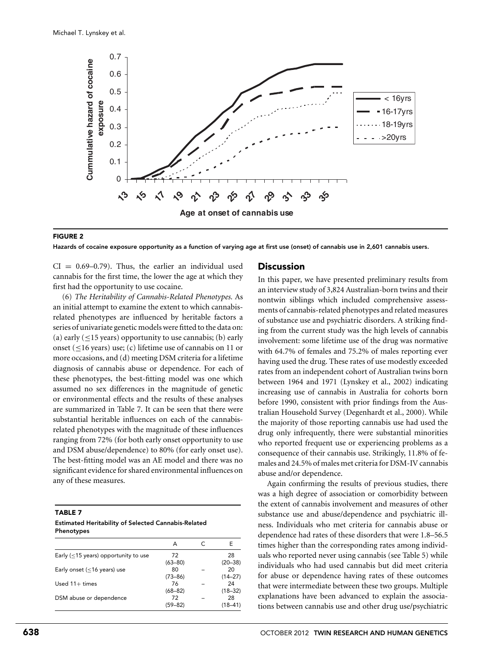

## FIGURE 2

Hazards of cocaine exposure opportunity as a function of varying age at first use (onset) of cannabis use in 2,601 cannabis users.

 $CI = 0.69-0.79$ . Thus, the earlier an individual used cannabis for the first time, the lower the age at which they first had the opportunity to use cocaine.

(6) *The Heritability of Cannabis-Related Phenotypes.* As an initial attempt to examine the extent to which cannabisrelated phenotypes are influenced by heritable factors a series of univariate genetic models were fitted to the data on: (a) early ( $\leq$ 15 years) opportunity to use cannabis; (b) early onset ( $\leq$ 16 years) use; (c) lifetime use of cannabis on 11 or more occasions, and (d) meeting DSM criteria for a lifetime diagnosis of cannabis abuse or dependence. For each of these phenotypes, the best-fitting model was one which assumed no sex differences in the magnitude of genetic or environmental effects and the results of these analyses are summarized in Table 7. It can be seen that there were substantial heritable influences on each of the cannabisrelated phenotypes with the magnitude of these influences ranging from 72% (for both early onset opportunity to use and DSM abuse/dependence) to 80% (for early onset use). The best-fitting model was an AE model and there was no significant evidence for shared environmental influences on any of these measures.

#### TABLE 7

Estimated Heritability of Selected Cannabis-Related Phenotypes

|                                             | А           | F           |
|---------------------------------------------|-------------|-------------|
| Early ( $\leq$ 15 years) opportunity to use | 72          | 28          |
|                                             | $(63 - 80)$ | $(20 - 38)$ |
| Early onset ( $\leq$ 16 years) use          | 80          | 20          |
|                                             | $(73 - 86)$ | $(14 - 27)$ |
| Used $11+$ times                            | 76          | 24          |
|                                             | $(68 - 82)$ | $(18 - 32)$ |
| DSM abuse or dependence                     | 72          | 28          |
|                                             | $(59 - 82)$ | $(18 - 41)$ |

## **Discussion**

In this paper, we have presented preliminary results from an interview study of 3,824 Australian-born twins and their nontwin siblings which included comprehensive assessments of cannabis-related phenotypes and related measures of substance use and psychiatric disorders. A striking finding from the current study was the high levels of cannabis involvement: some lifetime use of the drug was normative with 64.7% of females and 75.2% of males reporting ever having used the drug. These rates of use modestly exceeded rates from an independent cohort of Australian twins born between 1964 and 1971 (Lynskey et al., 2002) indicating increasing use of cannabis in Australia for cohorts born before 1990, consistent with prior findings from the Australian Household Survey (Degenhardt et al., 2000). While the majority of those reporting cannabis use had used the drug only infrequently, there were substantial minorities who reported frequent use or experiencing problems as a consequence of their cannabis use. Strikingly, 11.8% of females and 24.5% of males met criteria for DSM-IV cannabis abuse and/or dependence.

Again confirming the results of previous studies, there was a high degree of association or comorbidity between the extent of cannabis involvement and measures of other substance use and abuse/dependence and psychiatric illness. Individuals who met criteria for cannabis abuse or dependence had rates of these disorders that were 1.8–56.5 times higher than the corresponding rates among individuals who reported never using cannabis (see Table 5) while individuals who had used cannabis but did meet criteria for abuse or dependence having rates of these outcomes that were intermediate between these two groups. Multiple explanations have been advanced to explain the associations between cannabis use and other drug use/psychiatric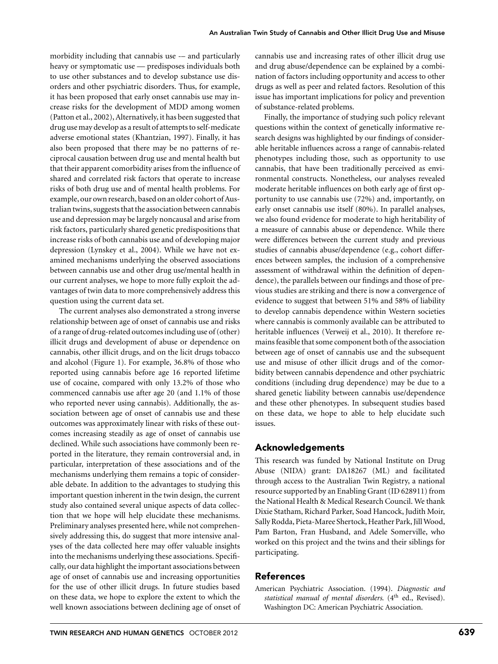morbidity including that cannabis use -– and particularly heavy or symptomatic use — predisposes individuals both to use other substances and to develop substance use disorders and other psychiatric disorders. Thus, for example, it has been proposed that early onset cannabis use may increase risks for the development of MDD among women (Patton et al., 2002), Alternatively, it has been suggested that drug use may develop as a result of attempts to self-medicate adverse emotional states (Khantzian, 1997). Finally, it has also been proposed that there may be no patterns of reciprocal causation between drug use and mental health but that their apparent comorbidity arises from the influence of shared and correlated risk factors that operate to increase risks of both drug use and of mental health problems. For example, our own research, based on an older cohort of Australian twins, suggests that the association between cannabis use and depression may be largely noncausal and arise from risk factors, particularly shared genetic predispositions that increase risks of both cannabis use and of developing major depression (Lynskey et al., 2004). While we have not examined mechanisms underlying the observed associations between cannabis use and other drug use/mental health in our current analyses, we hope to more fully exploit the advantages of twin data to more comprehensively address this question using the current data set.

The current analyses also demonstrated a strong inverse relationship between age of onset of cannabis use and risks of a range of drug-related outcomes including use of (other) illicit drugs and development of abuse or dependence on cannabis, other illicit drugs, and on the licit drugs tobacco and alcohol (Figure 1). For example, 36.8% of those who reported using cannabis before age 16 reported lifetime use of cocaine, compared with only 13.2% of those who commenced cannabis use after age 20 (and 1.1% of those who reported never using cannabis). Additionally, the association between age of onset of cannabis use and these outcomes was approximately linear with risks of these outcomes increasing steadily as age of onset of cannabis use declined. While such associations have commonly been reported in the literature, they remain controversial and, in particular, interpretation of these associations and of the mechanisms underlying them remains a topic of considerable debate. In addition to the advantages to studying this important question inherent in the twin design, the current study also contained several unique aspects of data collection that we hope will help elucidate these mechanisms. Preliminary analyses presented here, while not comprehensively addressing this, do suggest that more intensive analyses of the data collected here may offer valuable insights into the mechanisms underlying these associations. Specifically, our data highlight the important associations between age of onset of cannabis use and increasing opportunities for the use of other illicit drugs. In future studies based on these data, we hope to explore the extent to which the well known associations between declining age of onset of cannabis use and increasing rates of other illicit drug use and drug abuse/dependence can be explained by a combination of factors including opportunity and access to other drugs as well as peer and related factors. Resolution of this issue has important implications for policy and prevention of substance-related problems.

Finally, the importance of studying such policy relevant questions within the context of genetically informative research designs was highlighted by our findings of considerable heritable influences across a range of cannabis-related phenotypes including those, such as opportunity to use cannabis, that have been traditionally perceived as environmental constructs. Nonetheless, our analyses revealed moderate heritable influences on both early age of first opportunity to use cannabis use (72%) and, importantly, on early onset cannabis use itself (80%). In parallel analyses, we also found evidence for moderate to high heritability of a measure of cannabis abuse or dependence. While there were differences between the current study and previous studies of cannabis abuse/dependence (e.g., cohort differences between samples, the inclusion of a comprehensive assessment of withdrawal within the definition of dependence), the parallels between our findings and those of previous studies are striking and there is now a convergence of evidence to suggest that between 51% and 58% of liability to develop cannabis dependence within Western societies where cannabis is commonly available can be attributed to heritable influences (Verweij et al., 2010). It therefore remains feasible that some component both of the association between age of onset of cannabis use and the subsequent use and misuse of other illicit drugs and of the comorbidity between cannabis dependence and other psychiatric conditions (including drug dependence) may be due to a shared genetic liability between cannabis use/dependence and these other phenotypes. In subsequent studies based on these data, we hope to able to help elucidate such issues.

# Acknowledgements

This research was funded by National Institute on Drug Abuse (NIDA) grant: DA18267 (ML) and facilitated through access to the Australian Twin Registry, a national resource supported by an Enabling Grant (ID 628911) from the National Health & Medical Research Council. We thank Dixie Statham, Richard Parker, Soad Hancock, Judith Moir, Sally Rodda, Pieta-Maree Shertock, Heather Park, Jill Wood, Pam Barton, Fran Husband, and Adele Somerville, who worked on this project and the twins and their siblings for participating.

# References

American Psychiatric Association. (1994). *Diagnostic and statistical manual of mental disorders.* (4<sup>th</sup> ed., Revised). Washington DC: American Psychiatric Association.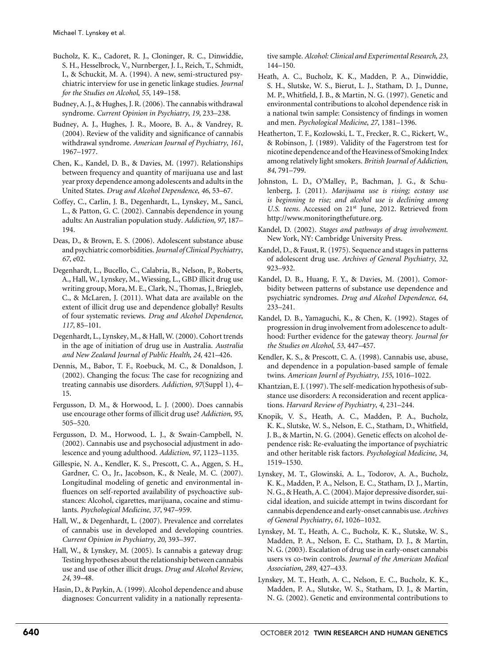- Bucholz, K. K., Cadoret, R. J., Cloninger, R. C., Dinwiddie, S. H., Hesselbrock, V., Nurnberger, J. I., Reich, T., Schmidt, I., & Schuckit, M. A. (1994). A new, semi-structured psychiatric interview for use in genetic linkage studies. *Journal for the Studies on Alcohol*, *55*, 149–158.
- Budney, A. J., & Hughes, J. R. (2006). The cannabis withdrawal syndrome. *Current Opinion in Psychiatry*, *19*, 233–238.
- Budney, A. J., Hughes, J. R., Moore, B. A., & Vandrey, R. (2004). Review of the validity and significance of cannabis withdrawal syndrome. *American Journal of Psychiatry*, *161*, 1967–1977.
- Chen, K., Kandel, D. B., & Davies, M. (1997). Relationships between frequency and quantity of marijuana use and last year proxy dependence among adolescents and adults in the United States. *Drug and Alcohol Dependence*, *46*, 53–67.
- Coffey, C., Carlin, J. B., Degenhardt, L., Lynskey, M., Sanci, L., & Patton, G. C. (2002). Cannabis dependence in young adults: An Australian population study. *Addiction*, *97*, 187– 194.
- Deas, D., & Brown, E. S. (2006). Adolescent substance abuse and psychiatric comorbidities.*Journal of Clinical Psychiatry*, *67*, e02.
- Degenhardt, L., Bucello, C., Calabria, B., Nelson, P., Roberts, A., Hall, W., Lynskey, M., Wiessing, L., GBD illicit drug use writing group, Mora, M. E., Clark, N., Thomas, J., Briegleb, C., & McLaren, J. (2011). What data are available on the extent of illicit drug use and dependence globally? Results of four systematic reviews. *Drug and Alcohol Dependence*, *117*, 85–101.
- Degenhardt, L., Lynskey, M., & Hall, W. (2000). Cohort trends in the age of initiation of drug use in Australia. *Australia and New Zealand Journal of Public Health*, *24*, 421–426.
- Dennis, M., Babor, T. F., Roebuck, M. C., & Donaldson, J. (2002). Changing the focus: The case for recognizing and treating cannabis use disorders. *Addiction*, *97*(Suppl 1), 4– 15.
- Fergusson, D. M., & Horwood, L. J. (2000). Does cannabis use encourage other forms of illicit drug use? *Addiction*, *95*, 505–520.
- Fergusson, D. M., Horwood, L. J., & Swain-Campbell, N. (2002). Cannabis use and psychosocial adjustment in adolescence and young adulthood. *Addiction*, *97*, 1123–1135.
- Gillespie, N. A., Kendler, K. S., Prescott, C. A., Aggen, S. H., Gardner, C. O., Jr., Jacobson, K., & Neale, M. C. (2007). Longitudinal modeling of genetic and environmental influences on self-reported availability of psychoactive substances: Alcohol, cigarettes, marijuana, cocaine and stimulants. *Psychological Medicine*, *37*, 947–959.
- Hall, W., & Degenhardt, L. (2007). Prevalence and correlates of cannabis use in developed and developing countries. *Current Opinion in Psychiatry*, *20*, 393–397.
- Hall, W., & Lynskey, M. (2005). Is cannabis a gateway drug: Testing hypotheses about the relationship between cannabis use and use of other illicit drugs. *Drug and Alcohol Review*, *24*, 39–48.
- Hasin, D., & Paykin, A. (1999). Alcohol dependence and abuse diagnoses: Concurrent validity in a nationally representa-

tive sample. *Alcohol: Clinical and Experimental Research*, *23*, 144–150.

- Heath, A. C., Bucholz, K. K., Madden, P. A., Dinwiddie, S. H., Slutske, W. S., Bierut, L. J., Statham, D. J., Dunne, M. P., Whitfield, J. B., & Martin, N. G. (1997). Genetic and environmental contributions to alcohol dependence risk in a national twin sample: Consistency of findings in women and men. *Psychological Medicine*, *27*, 1381–1396.
- Heatherton, T. F., Kozlowski, L. T., Frecker, R. C., Rickert, W., & Robinson, J. (1989). Validity of the Fagerstrom test for nicotine dependence and of the Heaviness of Smoking Index among relatively light smokers. *British Journal of Addiction*, *84*, 791–799.
- Johnston, L. D., O'Malley, P., Bachman, J. G., & Schulenberg, J. (2011). *Marijuana use is rising; ecstasy use is beginning to rise; and alcohol use is declining among* U.S. teens. Accessed on 21<sup>st</sup> June, 2012. Retrieved from http://www.monitoringthefuture.org.
- Kandel, D. (2002). *Stages and pathways of drug involvement*. New York, NY: Cambridge University Press.
- Kandel, D., & Faust, R. (1975). Sequence and stages in patterns of adolescent drug use. *Archives of General Psychiatry*, *32*, 923–932.
- Kandel, D. B., Huang, F. Y., & Davies, M. (2001). Comorbidity between patterns of substance use dependence and psychiatric syndromes. *Drug and Alcohol Dependence*, *64*, 233–241.
- Kandel, D. B., Yamaguchi, K., & Chen, K. (1992). Stages of progression in drug involvement from adolescence to adulthood: Further evidence for the gateway theory. *Journal for the Studies on Alcohol*, *53*, 447–457.
- Kendler, K. S., & Prescott, C. A. (1998). Cannabis use, abuse, and dependence in a population-based sample of female twins. *American Journl of Psychiatry*, *155*, 1016–1022.
- Khantzian, E. J. (1997). The self-medication hypothesis of substance use disorders: A reconsideration and recent applications. *Harvard Review of Psychiatry*, *4*, 231–244.
- Knopik, V. S., Heath, A. C., Madden, P. A., Bucholz, K. K., Slutske, W. S., Nelson, E. C., Statham, D., Whitfield, J. B., & Martin, N. G. (2004). Genetic effects on alcohol dependence risk: Re-evaluating the importance of psychiatric and other heritable risk factors. *Psychological Medicine*, *34*, 1519–1530.
- Lynskey, M. T., Glowinski, A. L., Todorov, A. A., Bucholz, K. K., Madden, P. A., Nelson, E. C., Statham, D. J., Martin, N. G., & Heath, A. C. (2004). Major depressive disorder, suicidal ideation, and suicide attempt in twins discordant for cannabis dependence and early-onset cannabis use.*Archives of General Psychiatry*, *61*, 1026–1032.
- Lynskey, M. T., Heath, A. C., Bucholz, K. K., Slutske, W. S., Madden, P. A., Nelson, E. C., Statham, D. J., & Martin, N. G. (2003). Escalation of drug use in early-onset cannabis users vs co-twin controls. *Journal of the American Medical Association*, *289*, 427–433.
- Lynskey, M. T., Heath, A. C., Nelson, E. C., Bucholz, K. K., Madden, P. A., Slutske, W. S., Statham, D. J., & Martin, N. G. (2002). Genetic and environmental contributions to